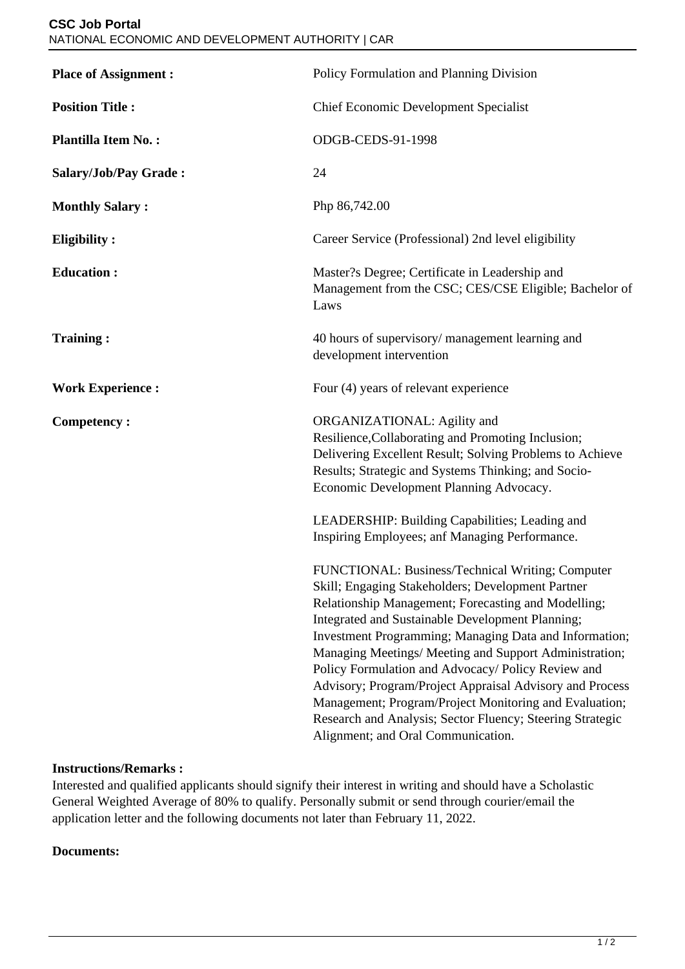| <b>Place of Assignment:</b> | Policy Formulation and Planning Division                                                                                                                                                                                                                                                                                                                                                                                                                                                                                                                                                                            |
|-----------------------------|---------------------------------------------------------------------------------------------------------------------------------------------------------------------------------------------------------------------------------------------------------------------------------------------------------------------------------------------------------------------------------------------------------------------------------------------------------------------------------------------------------------------------------------------------------------------------------------------------------------------|
| <b>Position Title:</b>      | <b>Chief Economic Development Specialist</b>                                                                                                                                                                                                                                                                                                                                                                                                                                                                                                                                                                        |
| <b>Plantilla Item No.:</b>  | ODGB-CEDS-91-1998                                                                                                                                                                                                                                                                                                                                                                                                                                                                                                                                                                                                   |
| Salary/Job/Pay Grade:       | 24                                                                                                                                                                                                                                                                                                                                                                                                                                                                                                                                                                                                                  |
| <b>Monthly Salary:</b>      | Php 86,742.00                                                                                                                                                                                                                                                                                                                                                                                                                                                                                                                                                                                                       |
| <b>Eligibility:</b>         | Career Service (Professional) 2nd level eligibility                                                                                                                                                                                                                                                                                                                                                                                                                                                                                                                                                                 |
| <b>Education:</b>           | Master?s Degree; Certificate in Leadership and<br>Management from the CSC; CES/CSE Eligible; Bachelor of<br>Laws                                                                                                                                                                                                                                                                                                                                                                                                                                                                                                    |
| <b>Training:</b>            | 40 hours of supervisory/ management learning and<br>development intervention                                                                                                                                                                                                                                                                                                                                                                                                                                                                                                                                        |
| <b>Work Experience:</b>     | Four (4) years of relevant experience                                                                                                                                                                                                                                                                                                                                                                                                                                                                                                                                                                               |
| <b>Competency:</b>          | ORGANIZATIONAL: Agility and<br>Resilience, Collaborating and Promoting Inclusion;<br>Delivering Excellent Result; Solving Problems to Achieve<br>Results; Strategic and Systems Thinking; and Socio-<br>Economic Development Planning Advocacy.                                                                                                                                                                                                                                                                                                                                                                     |
|                             | LEADERSHIP: Building Capabilities; Leading and<br>Inspiring Employees; anf Managing Performance.                                                                                                                                                                                                                                                                                                                                                                                                                                                                                                                    |
|                             | FUNCTIONAL: Business/Technical Writing; Computer<br>Skill; Engaging Stakeholders; Development Partner<br>Relationship Management; Forecasting and Modelling;<br>Integrated and Sustainable Development Planning;<br>Investment Programming; Managing Data and Information;<br>Managing Meetings/ Meeting and Support Administration;<br>Policy Formulation and Advocacy/ Policy Review and<br>Advisory; Program/Project Appraisal Advisory and Process<br>Management; Program/Project Monitoring and Evaluation;<br>Research and Analysis; Sector Fluency; Steering Strategic<br>Alignment; and Oral Communication. |

## **Instructions/Remarks :**

Interested and qualified applicants should signify their interest in writing and should have a Scholastic General Weighted Average of 80% to qualify. Personally submit or send through courier/email the application letter and the following documents not later than February 11, 2022.

## **Documents:**